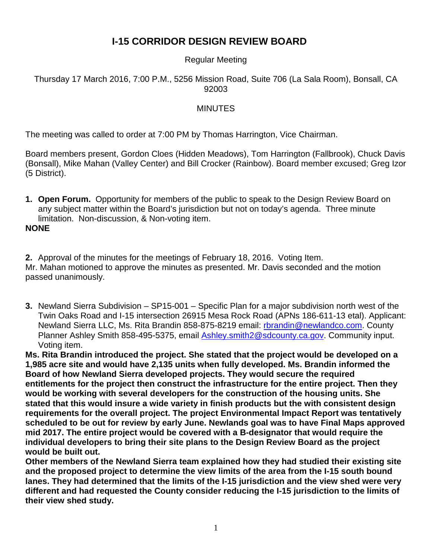# **I-15 CORRIDOR DESIGN REVIEW BOARD**

### Regular Meeting

#### Thursday 17 March 2016, 7:00 P.M., 5256 Mission Road, Suite 706 (La Sala Room), Bonsall, CA 92003

#### MINUTES

The meeting was called to order at 7:00 PM by Thomas Harrington, Vice Chairman.

Board members present, Gordon Cloes (Hidden Meadows), Tom Harrington (Fallbrook), Chuck Davis (Bonsall), Mike Mahan (Valley Center) and Bill Crocker (Rainbow). Board member excused; Greg Izor (5 District).

**1. Open Forum.** Opportunity for members of the public to speak to the Design Review Board on any subject matter within the Board's jurisdiction but not on today's agenda. Three minute limitation. Non-discussion, & Non-voting item.

#### **NONE**

**2.** Approval of the minutes for the meetings of February 18, 2016. Voting Item. Mr. Mahan motioned to approve the minutes as presented. Mr. Davis seconded and the motion passed unanimously.

**3.** Newland Sierra Subdivision – SP15-001 – Specific Plan for a major subdivision north west of the Twin Oaks Road and I-15 intersection 26915 Mesa Rock Road (APNs 186-611-13 etal). Applicant: Newland Sierra LLC, Ms. Rita Brandin 858-875-8219 email: [rbrandin@newlandco.com.](mailto:rbrandin@newlandco.com) County Planner Ashley Smith 858-495-5375, email **Ashley.smith2@sdcounty.ca.gov.** Community input. Voting item.

**Ms. Rita Brandin introduced the project. She stated that the project would be developed on a 1,985 acre site and would have 2,135 units when fully developed. Ms. Brandin informed the Board of how Newland Sierra developed projects. They would secure the required entitlements for the project then construct the infrastructure for the entire project. Then they would be working with several developers for the construction of the housing units. She stated that this would insure a wide variety in finish products but the with consistent design requirements for the overall project. The project Environmental Impact Report was tentatively scheduled to be out for review by early June. Newlands goal was to have Final Maps approved mid 2017. The entire project would be covered with a B-designator that would require the individual developers to bring their site plans to the Design Review Board as the project would be built out.** 

**Other members of the Newland Sierra team explained how they had studied their existing site and the proposed project to determine the view limits of the area from the I-15 south bound lanes. They had determined that the limits of the I-15 jurisdiction and the view shed were very different and had requested the County consider reducing the I-15 jurisdiction to the limits of their view shed study.**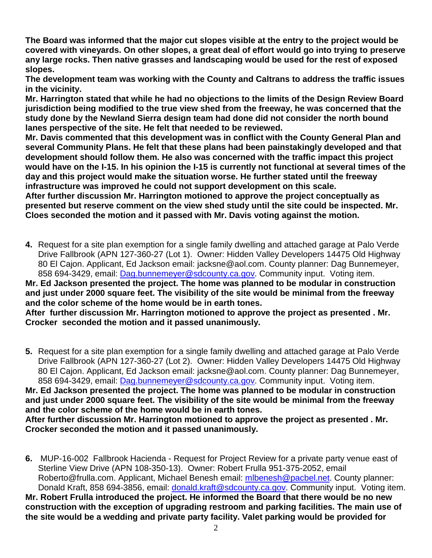**The Board was informed that the major cut slopes visible at the entry to the project would be covered with vineyards. On other slopes, a great deal of effort would go into trying to preserve any large rocks. Then native grasses and landscaping would be used for the rest of exposed slopes.** 

**The development team was working with the County and Caltrans to address the traffic issues in the vicinity.**

**Mr. Harrington stated that while he had no objections to the limits of the Design Review Board jurisdiction being modified to the true view shed from the freeway, he was concerned that the study done by the Newland Sierra design team had done did not consider the north bound lanes perspective of the site. He felt that needed to be reviewed.**

**Mr. Davis commented that this development was in conflict with the County General Plan and several Community Plans. He felt that these plans had been painstakingly developed and that development should follow them. He also was concerned with the traffic impact this project would have on the I-15. In his opinion the I-15 is currently not functional at several times of the day and this project would make the situation worse. He further stated until the freeway infrastructure was improved he could not support development on this scale.**

**After further discussion Mr. Harrington motioned to approve the project conceptually as presented but reserve comment on the view shed study until the site could be inspected. Mr. Cloes seconded the motion and it passed with Mr. Davis voting against the motion.** 

**4.** Request for a site plan exemption for a single family dwelling and attached garage at Palo Verde Drive Fallbrook (APN 127-360-27 (Lot 1). Owner: Hidden Valley Developers 14475 Old Highway 80 El Cajon. Applicant, Ed Jackson email: jacksne@aol.com. County planner: Dag Bunnemeyer, 858 694-3429, email: [Dag.bunnemeyer@sdcounty.ca.gov.](mailto:Dag.bunnemeyer@sdcounty.ca.gov) Community input. Voting item.

#### **Mr. Ed Jackson presented the project. The home was planned to be modular in construction and just under 2000 square feet. The visibility of the site would be minimal from the freeway and the color scheme of the home would be in earth tones.**

**After further discussion Mr. Harrington motioned to approve the project as presented . Mr. Crocker seconded the motion and it passed unanimously.**

**5.** Request for a site plan exemption for a single family dwelling and attached garage at Palo Verde Drive Fallbrook (APN 127-360-27 (Lot 2). Owner: Hidden Valley Developers 14475 Old Highway 80 El Cajon. Applicant, Ed Jackson email: jacksne@aol.com. County planner: Dag Bunnemeyer, 858 694-3429, email: [Dag.bunnemeyer@sdcounty.ca.gov.](mailto:Dag.bunnemeyer@sdcounty.ca.gov) Community input. Voting item. **Mr. Ed Jackson presented the project. The home was planned to be modular in construction and just under 2000 square feet. The visibility of the site would be minimal from the freeway and the color scheme of the home would be in earth tones.**

**After further discussion Mr. Harrington motioned to approve the project as presented . Mr. Crocker seconded the motion and it passed unanimously.**

**6.** MUP-16-002 Fallbrook Hacienda - Request for Project Review for a private party venue east of Sterline View Drive (APN 108-350-13). Owner: Robert Frulla 951-375-2052, email Roberto@frulla.com. Applicant, Michael Benesh email: [mlbenesh@pacbel.net.](mailto:mlbenesh@pacbel.net) County planner: Donald Kraft, 858 694-3856, email: [donald.kraft@sdcounty.ca.gov.](mailto:donald.kraft@sdcounty.ca.gov) Community input. Voting item. **Mr. Robert Frulla introduced the project. He informed the Board that there would be no new construction with the exception of upgrading restroom and parking facilities. The main use of the site would be a wedding and private party facility. Valet parking would be provided for**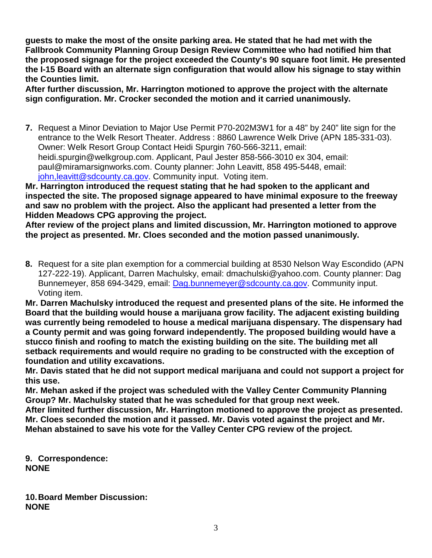**guests to make the most of the onsite parking area. He stated that he had met with the Fallbrook Community Planning Group Design Review Committee who had notified him that the proposed signage for the project exceeded the County's 90 square foot limit. He presented the I-15 Board with an alternate sign configuration that would allow his signage to stay within the Counties limit.** 

**After further discussion, Mr. Harrington motioned to approve the project with the alternate sign configuration. Mr. Crocker seconded the motion and it carried unanimously.** 

**7.** Request a Minor Deviation to Major Use Permit P70-202M3W1 for a 48" by 240" lite sign for the entrance to the Welk Resort Theater. Address : 8860 Lawrence Welk Drive (APN 185-331-03). Owner: Welk Resort Group Contact Heidi Spurgin 760-566-3211, email: heidi.spurgin@welkgroup.com. Applicant, Paul Jester 858-566-3010 ex 304, email: paul@miramarsignworks.com. County planner: John Leavitt, 858 495-5448, email: john, leavitt@sdcounty.ca.gov. Community input. Voting item.

**Mr. Harrington introduced the request stating that he had spoken to the applicant and inspected the site. The proposed signage appeared to have minimal exposure to the freeway and saw no problem with the project. Also the applicant had presented a letter from the Hidden Meadows CPG approving the project.**

**After review of the project plans and limited discussion, Mr. Harrington motioned to approve the project as presented. Mr. Cloes seconded and the motion passed unanimously.**

**8.** Request for a site plan exemption for a commercial building at 8530 Nelson Way Escondido (APN 127-222-19). Applicant, Darren Machulsky, email: dmachulski@yahoo.com. County planner: Dag Bunnemeyer, 858 694-3429, email: [Dag.bunnemeyer@sdcounty.ca.gov.](mailto:Dag.bunnemeyer@sdcounty.ca.gov) Community input. Voting item.

**Mr. Darren Machulsky introduced the request and presented plans of the site. He informed the Board that the building would house a marijuana grow facility. The adjacent existing building was currently being remodeled to house a medical marijuana dispensary. The dispensary had a County permit and was going forward independently. The proposed building would have a stucco finish and roofing to match the existing building on the site. The building met all setback requirements and would require no grading to be constructed with the exception of foundation and utility excavations.** 

**Mr. Davis stated that he did not support medical marijuana and could not support a project for this use.**

**Mr. Mehan asked if the project was scheduled with the Valley Center Community Planning Group? Mr. Machulsky stated that he was scheduled for that group next week.**

**After limited further discussion, Mr. Harrington motioned to approve the project as presented. Mr. Cloes seconded the motion and it passed. Mr. Davis voted against the project and Mr. Mehan abstained to save his vote for the Valley Center CPG review of the project.**

**9. Correspondence: NONE**

**10.Board Member Discussion: NONE**